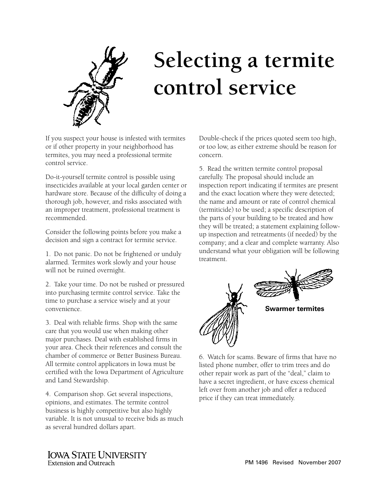

## **Selecting a termite control service**

If you suspect your house is infested with termites or if other property in your neighborhood has termites, you may need a professional termite control service.

Do-it-yourself termite control is possible using insecticides available at your local garden center or hardware store. Because of the difficulty of doing a thorough job, however, and risks associated with an improper treatment, professional treatment is recommended.

Consider the following points before you make a decision and sign a contract for termite service.

1. Do not panic. Do not be frightened or unduly alarmed. Termites work slowly and your house will not be ruined overnight.

2. Take your time. Do not be rushed or pressured into purchasing termite control service. Take the time to purchase a service wisely and at your convenience.

3. Deal with reliable firms. Shop with the same care that you would use when making other major purchases. Deal with established firms in your area. Check their references and consult the chamber of commerce or Better Business Bureau. All termite control applicators in Iowa must be certified with the Iowa Department of Agriculture and Land Stewardship.

4. Comparison shop. Get several inspections, opinions, and estimates. The termite control business is highly competitive but also highly variable. It is not unusual to receive bids as much as several hundred dollars apart.

Double-check if the prices quoted seem too high, or too low, as either extreme should be reason for concern.

5. Read the written termite control proposal carefully. The proposal should include an inspection report indicating if termites are present and the exact location where they were detected; the name and amount or rate of control chemical (termiticide) to be used; a specific description of the parts of your building to be treated and how they will be treated; a statement explaining followup inspection and retreatments (if needed) by the company; and a clear and complete warranty. Also understand what your obligation will be following treatment.



6. Watch for scams. Beware of firms that have no listed phone number, offer to trim trees and do other repair work as part of the "deal," claim to have a secret ingredient, or have excess chemical left over from another job and offer a reduced price if they can treat immediately.

**IOWA STATE UNIVERSITY Extension and Outreach**